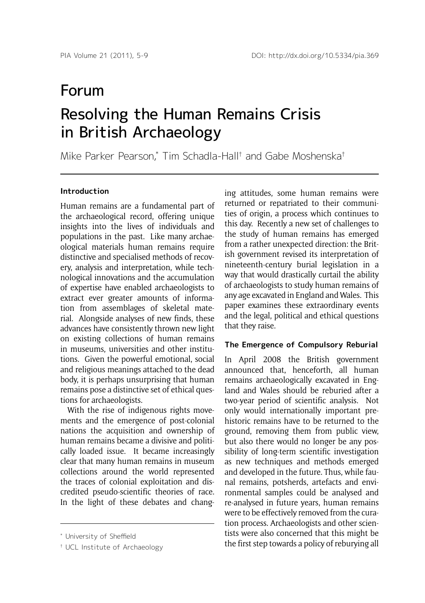# Resolving the Human Remains Crisis in British Archaeology Forum

Mike Parker Pearson,\* Tim Schadla-Hall† and Gabe Moshenska†

## **Introduction**

Human remains are a fundamental part of the archaeological record, offering unique insights into the lives of individuals and populations in the past. Like many archaeological materials human remains require distinctive and specialised methods of recovery, analysis and interpretation, while technological innovations and the accumulation of expertise have enabled archaeologists to extract ever greater amounts of information from assemblages of skeletal material. Alongside analyses of new finds, these advances have consistently thrown new light on existing collections of human remains in museums, universities and other institutions. Given the powerful emotional, social and religious meanings attached to the dead body, it is perhaps unsurprising that human remains pose a distinctive set of ethical questions for archaeologists.

With the rise of indigenous rights movements and the emergence of post-colonial nations the acquisition and ownership of human remains became a divisive and politically loaded issue. It became increasingly clear that many human remains in museum collections around the world represented the traces of colonial exploitation and discredited pseudo-scientific theories of race. In the light of these debates and chang-

ing attitudes, some human remains were returned or repatriated to their communities of origin, a process which continues to this day. Recently a new set of challenges to the study of human remains has emerged from a rather unexpected direction: the British government revised its interpretation of nineteenth-century burial legislation in a way that would drastically curtail the ability of archaeologists to study human remains of any age excavated in England and Wales. This paper examines these extraordinary events and the legal, political and ethical questions that they raise.

## **The Emergence of Compulsory Reburial**

In April 2008 the British government announced that, henceforth, all human remains archaeologically excavated in England and Wales should be reburied after a two-year period of scientific analysis. Not only would internationally important prehistoric remains have to be returned to the ground, removing them from public view, but also there would no longer be any possibility of long-term scientific investigation as new techniques and methods emerged and developed in the future. Thus, while faunal remains, potsherds, artefacts and environmental samples could be analysed and re-analysed in future years, human remains were to be effectively removed from the curation process. Archaeologists and other scientists were also concerned that this might be the first step towards a policy of reburying all

<sup>\*</sup> University of Sheffield

<sup>†</sup> UCL Institute of Archaeology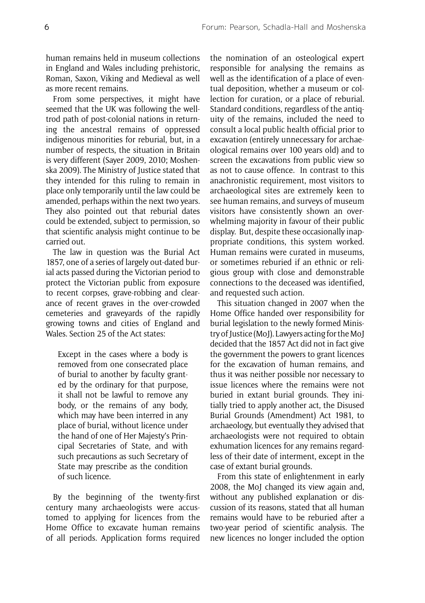human remains held in museum collections in England and Wales including prehistoric, Roman, Saxon, Viking and Medieval as well as more recent remains.

From some perspectives, it might have seemed that the UK was following the welltrod path of post-colonial nations in returning the ancestral remains of oppressed indigenous minorities for reburial, but, in a number of respects, the situation in Britain is very different (Sayer 2009, 2010; Moshenska 2009). The Ministry of Justice stated that they intended for this ruling to remain in place only temporarily until the law could be amended, perhaps within the next two years. They also pointed out that reburial dates could be extended, subject to permission, so that scientific analysis might continue to be carried out.

The law in question was the Burial Act 1857, one of a series of largely out-dated burial acts passed during the Victorian period to protect the Victorian public from exposure to recent corpses, grave-robbing and clearance of recent graves in the over-crowded cemeteries and graveyards of the rapidly growing towns and cities of England and Wales. Section 25 of the Act states:

Except in the cases where a body is removed from one consecrated place of burial to another by faculty granted by the ordinary for that purpose, it shall not be lawful to remove any body, or the remains of any body, which may have been interred in any place of burial, without licence under the hand of one of Her Majesty's Principal Secretaries of State, and with such precautions as such Secretary of State may prescribe as the condition of such licence.

By the beginning of the twenty-first century many archaeologists were accustomed to applying for licences from the Home Office to excavate human remains of all periods. Application forms required the nomination of an osteological expert responsible for analysing the remains as well as the identification of a place of eventual deposition, whether a museum or collection for curation, or a place of reburial. Standard conditions, regardless of the antiquity of the remains, included the need to consult a local public health official prior to excavation (entirely unnecessary for archaeological remains over 100 years old) and to screen the excavations from public view so as not to cause offence. In contrast to this anachronistic requirement, most visitors to archaeological sites are extremely keen to see human remains, and surveys of museum visitors have consistently shown an overwhelming majority in favour of their public display. But, despite these occasionally inappropriate conditions, this system worked. Human remains were curated in museums, or sometimes reburied if an ethnic or religious group with close and demonstrable connections to the deceased was identified, and requested such action.

This situation changed in 2007 when the Home Office handed over responsibility for burial legislation to the newly formed Ministry of Justice (MoJ). Lawyers acting for the MoJ decided that the 1857 Act did not in fact give the government the powers to grant licences for the excavation of human remains, and thus it was neither possible nor necessary to issue licences where the remains were not buried in extant burial grounds. They initially tried to apply another act, the Disused Burial Grounds (Amendment) Act 1981, to archaeology, but eventually they advised that archaeologists were not required to obtain exhumation licences for any remains regardless of their date of interment, except in the case of extant burial grounds.

From this state of enlightenment in early 2008, the MoJ changed its view again and, without any published explanation or discussion of its reasons, stated that all human remains would have to be reburied after a two-year period of scientific analysis. The new licences no longer included the option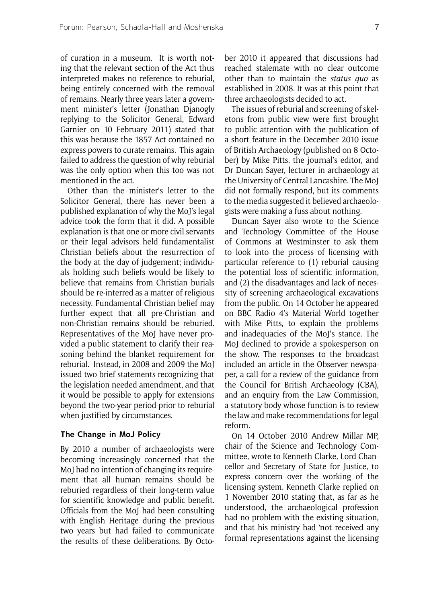of curation in a museum. It is worth noting that the relevant section of the Act thus interpreted makes no reference to reburial, being entirely concerned with the removal of remains. Nearly three years later a government minister's letter (Jonathan Djanogly replying to the Solicitor General, Edward Garnier on 10 February 2011) stated that this was because the 1857 Act contained no express powers to curate remains. This again failed to address the question of why reburial was the only option when this too was not mentioned in the act.

Other than the minister's letter to the Solicitor General, there has never been a published explanation of why the MoJ's legal advice took the form that it did. A possible explanation is that one or more civil servants or their legal advisors held fundamentalist Christian beliefs about the resurrection of the body at the day of judgement; individuals holding such beliefs would be likely to believe that remains from Christian burials should be re-interred as a matter of religious necessity. Fundamental Christian belief may further expect that all pre-Christian and non-Christian remains should be reburied. Representatives of the MoJ have never provided a public statement to clarify their reasoning behind the blanket requirement for reburial. Instead, in 2008 and 2009 the MoJ issued two brief statements recognizing that the legislation needed amendment, and that it would be possible to apply for extensions beyond the two-year period prior to reburial when justified by circumstances.

#### **The Change in MoJ Policy**

By 2010 a number of archaeologists were becoming increasingly concerned that the MoJ had no intention of changing its requirement that all human remains should be reburied regardless of their long-term value for scientific knowledge and public benefit. Officials from the MoJ had been consulting with English Heritage during the previous two years but had failed to communicate the results of these deliberations. By October 2010 it appeared that discussions had reached stalemate with no clear outcome other than to maintain the *status quo* as established in 2008. It was at this point that three archaeologists decided to act.

The issues of reburial and screening of skeletons from public view were first brought to public attention with the publication of a short feature in the December 2010 issue of British Archaeology (published on 8 October) by Mike Pitts, the journal's editor, and Dr Duncan Sayer, lecturer in archaeology at the University of Central Lancashire. The MoJ did not formally respond, but its comments to the media suggested it believed archaeologists were making a fuss about nothing.

Duncan Sayer also wrote to the Science and Technology Committee of the House of Commons at Westminster to ask them to look into the process of licensing with particular reference to (1) reburial causing the potential loss of scientific information, and (2) the disadvantages and lack of necessity of screening archaeological excavations from the public. On 14 October he appeared on BBC Radio 4's Material World together with Mike Pitts, to explain the problems and inadequacies of the MoJ's stance. The MoJ declined to provide a spokesperson on the show. The responses to the broadcast included an article in the Observer newspaper, a call for a review of the guidance from the Council for British Archaeology (CBA), and an enquiry from the Law Commission, a statutory body whose function is to review the law and make recommendations for legal reform.

On 14 October 2010 Andrew Millar MP, chair of the Science and Technology Committee, wrote to Kenneth Clarke, Lord Chancellor and Secretary of State for Justice, to express concern over the working of the licensing system. Kenneth Clarke replied on 1 November 2010 stating that, as far as he understood, the archaeological profession had no problem with the existing situation, and that his ministry had 'not received any formal representations against the licensing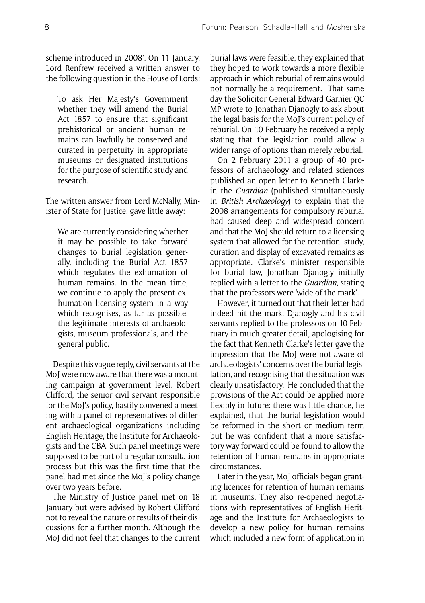scheme introduced in 2008'. On 11 January, Lord Renfrew received a written answer to the following question in the House of Lords:

To ask Her Majesty's Government whether they will amend the Burial Act 1857 to ensure that significant prehistorical or ancient human remains can lawfully be conserved and curated in perpetuity in appropriate museums or designated institutions for the purpose of scientific study and research.

The written answer from Lord McNally, Minister of State for Justice, gave little away:

We are currently considering whether it may be possible to take forward changes to burial legislation generally, including the Burial Act 1857 which regulates the exhumation of human remains. In the mean time, we continue to apply the present exhumation licensing system in a way which recognises, as far as possible, the legitimate interests of archaeologists, museum professionals, and the general public.

Despite this vague reply, civil servants at the MoJ were now aware that there was a mounting campaign at government level. Robert Clifford, the senior civil servant responsible for the MoJ's policy, hastily convened a meeting with a panel of representatives of different archaeological organizations including English Heritage, the Institute for Archaeologists and the CBA. Such panel meetings were supposed to be part of a regular consultation process but this was the first time that the panel had met since the MoJ's policy change over two years before.

The Ministry of Justice panel met on 18 January but were advised by Robert Clifford not to reveal the nature or results of their discussions for a further month. Although the MoJ did not feel that changes to the current burial laws were feasible, they explained that they hoped to work towards a more flexible approach in which reburial of remains would not normally be a requirement. That same day the Solicitor General Edward Garnier QC MP wrote to Jonathan Djanogly to ask about the legal basis for the MoJ's current policy of reburial. On 10 February he received a reply stating that the legislation could allow a wider range of options than merely reburial.

On 2 February 2011 a group of 40 professors of archaeology and related sciences published an open letter to Kenneth Clarke in the *Guardian* (published simultaneously in *British Archaeology*) to explain that the 2008 arrangements for compulsory reburial had caused deep and widespread concern and that the MoJ should return to a licensing system that allowed for the retention, study, curation and display of excavated remains as appropriate. Clarke's minister responsible for burial law, Jonathan Djanogly initially replied with a letter to the *Guardian,* stating that the professors were 'wide of the mark'.

However, it turned out that their letter had indeed hit the mark. Djanogly and his civil servants replied to the professors on 10 February in much greater detail, apologising for the fact that Kenneth Clarke's letter gave the impression that the MoJ were not aware of archaeologists' concerns over the burial legislation, and recognising that the situation was clearly unsatisfactory. He concluded that the provisions of the Act could be applied more flexibly in future: there was little chance, he explained, that the burial legislation would be reformed in the short or medium term but he was confident that a more satisfactory way forward could be found to allow the retention of human remains in appropriate circumstances.

Later in the year, MoJ officials began granting licences for retention of human remains in museums. They also re-opened negotiations with representatives of English Heritage and the Institute for Archaeologists to develop a new policy for human remains which included a new form of application in